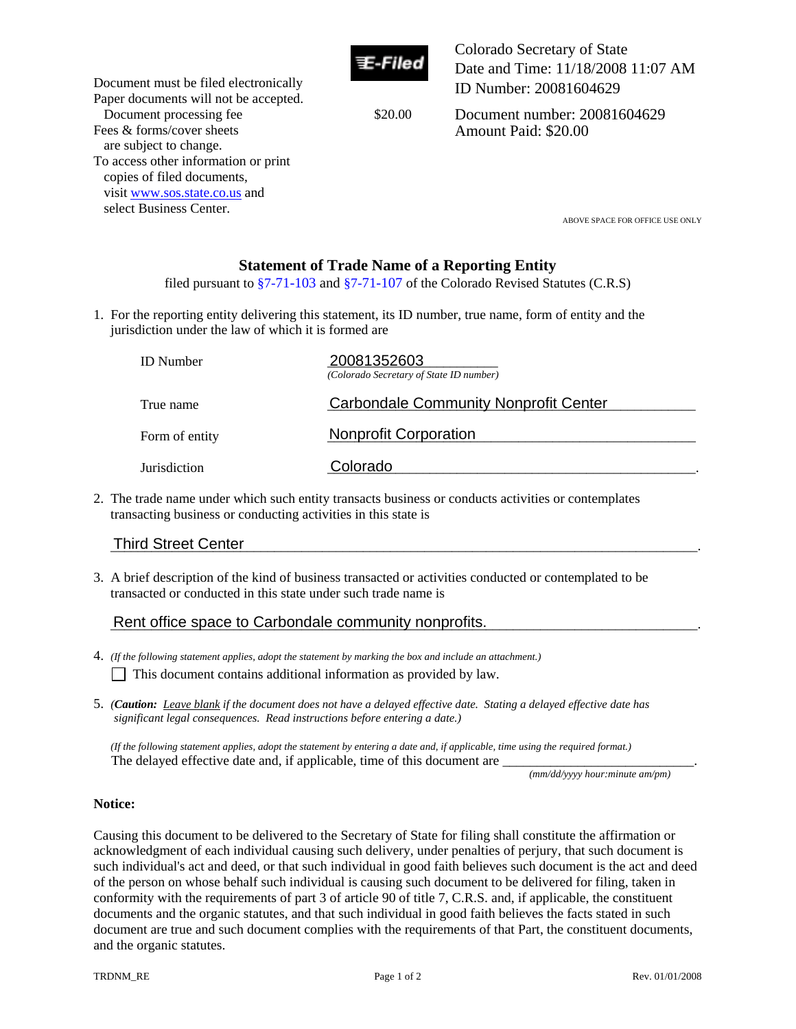

Colorado Secretary of State Date and Time: 11/18/2008 11:07 AM ID Number: 20081604629

Document processing fee \$20.00

Document number: 20081604629 Amount Paid: \$20.00

select Business Center.<br>ABOVE SPACE FOR OFFICE USE ONLY

# **Statement of Trade Name of a Reporting Entity**

filed pursuant to  $\S7-71-103$  and  $\S7-71-107$  of the Colorado Revised Statutes (C.R.S)

1. For the reporting entity delivering this statement, its ID number, true name, form of entity and the jurisdiction under the law of which it is formed are

|                            | <b>ID</b> Number                                                                                                                                                          | 20081352603<br>(Colorado Secretary of State ID number) |  |  |
|----------------------------|---------------------------------------------------------------------------------------------------------------------------------------------------------------------------|--------------------------------------------------------|--|--|
|                            | True name                                                                                                                                                                 | <b>Carbondale Community Nonprofit Center</b>           |  |  |
|                            | Form of entity                                                                                                                                                            | <b>Nonprofit Corporation</b>                           |  |  |
|                            | <b>Jurisdiction</b>                                                                                                                                                       | Colorado                                               |  |  |
|                            | 2. The trade name under which such entity transacts business or conducts activities or contemplates<br>transacting business or conducting activities in this state is     |                                                        |  |  |
| <b>Third Street Center</b> |                                                                                                                                                                           |                                                        |  |  |
|                            | 3. A brief description of the kind of business transacted or activities conducted or contemplated to be<br>transacted or conducted in this state under such trade name is |                                                        |  |  |
|                            |                                                                                                                                                                           | Rent office space to Carbondale community nonprofits.  |  |  |

## Third Street Center

Document must be filed electronically Paper documents will not be accepted.

To access other information or print copies of filed documents, visit www.sos.state.co.us and

Fees & forms/cover sheets are subject to change.

### Rent office space to Carbondale community nonprofits.

4. *(If the following statement applies, adopt the statement by marking the box and include an attachment.)*

 $\Box$  This document contains additional information as provided by law.

5. *(Caution: Leave blank if the document does not have a delayed effective date. Stating a delayed effective date has significant legal consequences. Read instructions before entering a date.)* 

 *(If the following statement applies, adopt the statement by entering a date and, if applicable, time using the required format.)*  The delayed effective date and, if applicable, time of this document are

*(mm/dd/yyyy hour:minute am/pm)* 

### **Notice:**

Causing this document to be delivered to the Secretary of State for filing shall constitute the affirmation or acknowledgment of each individual causing such delivery, under penalties of perjury, that such document is such individual's act and deed, or that such individual in good faith believes such document is the act and deed of the person on whose behalf such individual is causing such document to be delivered for filing, taken in conformity with the requirements of part 3 of article 90 of title 7, C.R.S. and, if applicable, the constituent documents and the organic statutes, and that such individual in good faith believes the facts stated in such document are true and such document complies with the requirements of that Part, the constituent documents, and the organic statutes.